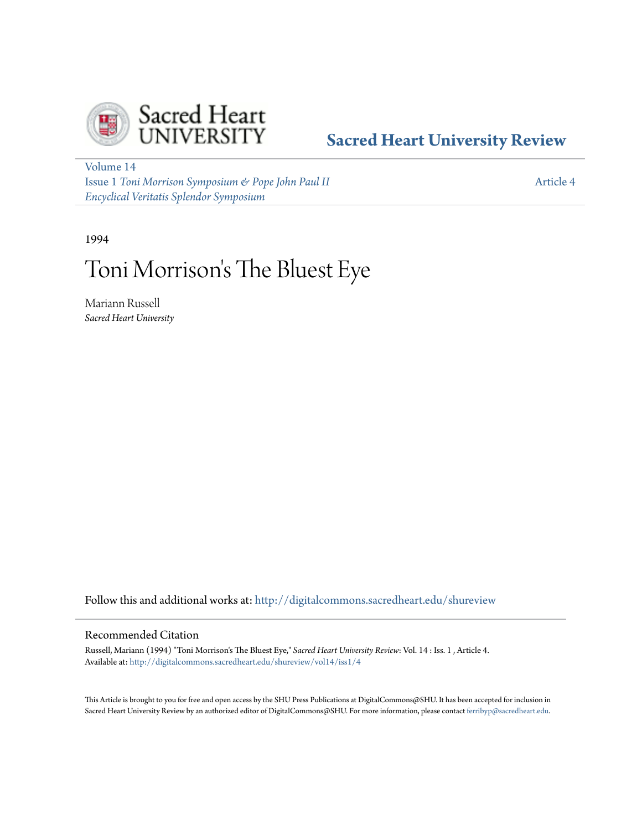

# **[Sacred Heart University Review](http://digitalcommons.sacredheart.edu/shureview?utm_source=digitalcommons.sacredheart.edu%2Fshureview%2Fvol14%2Fiss1%2F4&utm_medium=PDF&utm_campaign=PDFCoverPages)**

[Volume 14](http://digitalcommons.sacredheart.edu/shureview/vol14?utm_source=digitalcommons.sacredheart.edu%2Fshureview%2Fvol14%2Fiss1%2F4&utm_medium=PDF&utm_campaign=PDFCoverPages) Issue 1 *[Toni Morrison Symposium & Pope John Paul II](http://digitalcommons.sacredheart.edu/shureview/vol14/iss1?utm_source=digitalcommons.sacredheart.edu%2Fshureview%2Fvol14%2Fiss1%2F4&utm_medium=PDF&utm_campaign=PDFCoverPages) [Encyclical Veritatis Splendor Symposium](http://digitalcommons.sacredheart.edu/shureview/vol14/iss1?utm_source=digitalcommons.sacredheart.edu%2Fshureview%2Fvol14%2Fiss1%2F4&utm_medium=PDF&utm_campaign=PDFCoverPages)*

[Article 4](http://digitalcommons.sacredheart.edu/shureview/vol14/iss1/4?utm_source=digitalcommons.sacredheart.edu%2Fshureview%2Fvol14%2Fiss1%2F4&utm_medium=PDF&utm_campaign=PDFCoverPages)

1994

# Toni Morrison 's The Bluest Eye

Mariann Russell *Sacred Heart University*

Follow this and additional works at: [http://digitalcommons.sacredheart.edu/shureview](http://digitalcommons.sacredheart.edu/shureview?utm_source=digitalcommons.sacredheart.edu%2Fshureview%2Fvol14%2Fiss1%2F4&utm_medium=PDF&utm_campaign=PDFCoverPages)

### Recommended Citation

Russell, Mariann (1994) "Toni Morrison's The Bluest Eye," *Sacred Heart University Review*: Vol. 14 : Iss. 1 , Article 4. Available at: [http://digitalcommons.sacredheart.edu/shureview/vol14/iss1/4](http://digitalcommons.sacredheart.edu/shureview/vol14/iss1/4?utm_source=digitalcommons.sacredheart.edu%2Fshureview%2Fvol14%2Fiss1%2F4&utm_medium=PDF&utm_campaign=PDFCoverPages)

This Article is brought to you for free and open access by the SHU Press Publications at DigitalCommons@SHU. It has been accepted for inclusion in Sacred Heart University Review by an authorized editor of DigitalCommons@SHU. For more information, please contact [ferribyp@sacredheart.edu](mailto:ferribyp@sacredheart.edu).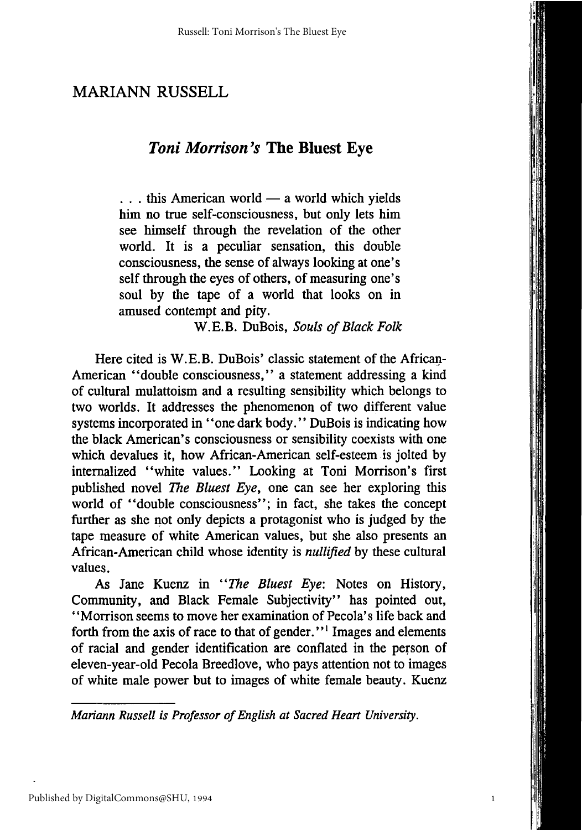# **MARIANN RUSSELL**

## **Toni Morrison's The Bluest Eye**

... this American world — a world which yields him no true self-consciousness, but only lets him see himself through the revelation of the other world. It is a peculiar sensation, this double consciousness, the sense of always looking at one's self through the eyes of others, of measuring one's soul by the tape of a world that looks on in amused contempt and pity.

W.E.B. DuBois, *Souls of Black Folk* 

Here cited is W.E.B. DuBois' classic statement of the African-American "double consciousness," a statement addressing a kind of cultural mulattoism and a resulting sensibility which belongs to two worlds. It addresses the phenomenon of two different value systems incorporated in "one dark body." DuBois is indicating how the black American's consciousness or sensibility coexists with one which devalues it, how African-American self-esteem is jolted by internalized "white values." Looking at Toni Morrison's first published novel *The Bluest Eye,* one can see her exploring this world of "double consciousness"; in fact, she takes the concept further as she not only depicts a protagonist who is judged by the tape measure of white American values, but she also presents an African-American child whose identity is *nullified* by these cultural values.

As Jane Kuenz in *"The Bluest Eye:* Notes on History, Community, and Black Female Subjectivity" has pointed out, ' 'Morrison seems to move her examination of Pecola's life back and forth from the axis of race to that of gender.''' Images and elements of racial and gender identification are conflated in the person of eleven-year-old Pecola Breedlove, who pays attention not to images of white male power but to images of white female beauty. Kuenz

*Mariann Russell is Professor of English at Sacred Heart University.*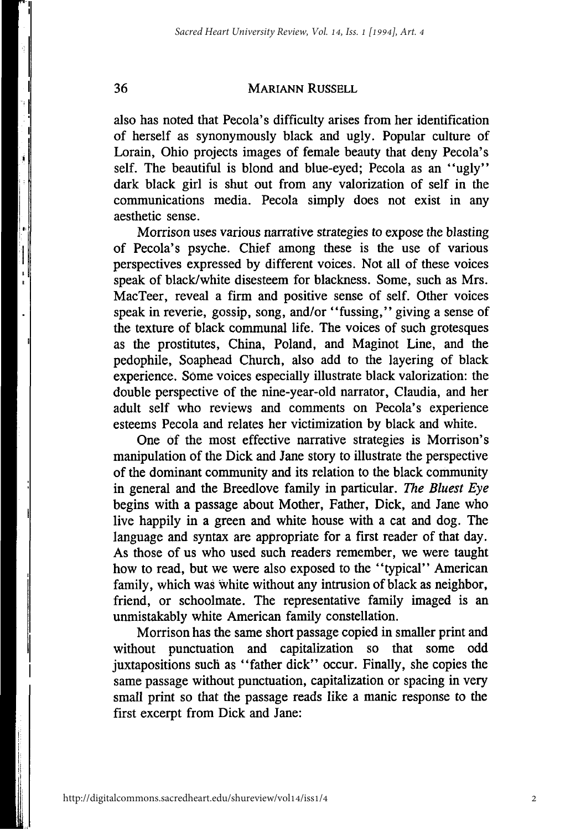#### 36 MARIANN RUSSELL

also has noted that Pecola's difficulty arises from her identification of herself as synonymously black and ugly. Popular culture of Lorain, Ohio projects images of female beauty that deny Pecola's self. The beautiful is blond and blue-eyed; Pecola as an "ugly" dark black girl is shut out from any valorization of self in the communications media. Pecola simply does not exist in any aesthetic sense.

Morrison uses various narrative strategies to expose the blasting of Pecola's psyche. Chief among these is the use of various perspectives expressed by different voices. Not all of these voices speak of black/white disesteem for blackness. Some, such as Mrs. MacTeer, reveal a firm and positive sense of self. Other voices speak in reverie, gossip, song, and/or "fussing," giving a sense of the texture of black communal life. The voices of such grotesques as the prostitutes, China, Poland, and Maginot Line, and the pedophile, Soaphead Church, also add to the layering of black experience. Some voices especially illustrate black valorization: the double perspective of the nine-year-old narrator, Claudia, and her adult self who reviews and comments on Pecola's experience esteems Pecola and relates her victimization by black and white.

One of the most effective narrative strategies is Morrison's manipulation of the Dick and Jane story to illustrate the perspective of the dominant community and its relation to the black community in general and the Breedlove family in particular. *The Bluest Eye*  begins with a passage about Mother, Father, Dick, and Jane who live happily in a green and white house with a cat and dog. The language and syntax are appropriate for a first reader of that day. As those of us who used such readers remember, we were taught how to read, but we were also exposed to the "typical" American family, which was white without any intrusion of black as neighbor, friend, or schoolmate. The representative family imaged is an unmistakably white American family constellation.

Morrison has the same short passage copied in smaller print and without punctuation and capitalization so that some odd juxtapositions such as "father dick" occur. Finally, she copies the same passage without punctuation, capitalization or spacing in very small print so that the passage reads like a manic response to the first excerpt from Dick and Jane: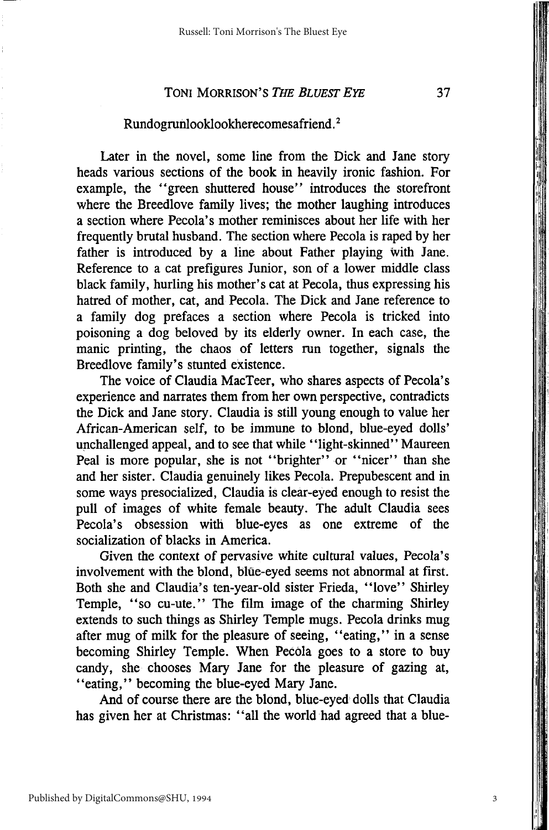#### TONI MORRISON'S *THE BLUEST EYE* **37**

#### Rundogrunlooklookherecomesafriend.

Later in the novel, some line from the Dick and Jane story heads various sections of the book in heavily ironic fashion. For example, the "green shuttered house" introduces the storefront where the Breedlove family lives; the mother laughing introduces a section where Pecola's mother reminisces about her life with her frequently brutal husband. The section where Pecola is raped by her father is introduced by a line about Father playing with Jane. Reference to a cat prefigures Junior, son of a lower middle class black family, hurling his mother's cat at Pecola, thus expressing his hatred of mother, cat, and Pecola. The Dick and Jane reference to a family dog prefaces a section where Pecola is tricked into poisoning a dog beloved by its elderly owner. In each case, the manic printing, the chaos of letters run together, signals the Breedlove family's stunted existence.

The voice of Claudia MacTeer, who shares aspects of Pecola's experience and narrates them from her own perspective, contradicts the Dick and Jane story. Claudia is still young enough to value her African-American self, to be immune to blond, blue-eyed dolls' unchallenged appeal, and to see that while "light-skinned" Maureen Peal is more popular, she is not "brighter" or "nicer" than she and her sister. Claudia genuinely likes Pecola. Prepubescent and in some ways presocialized, Claudia is clear-eyed enough to resist the pull of images of white female beauty. The adult Claudia sees Pecola's obsession with blue-eyes as one extreme of the socialization of blacks in America.

Given the context of pervasive white cultural values, Pecola's involvement with the blond, blue-eyed seems not abnormal at first. Both she and Claudia's ten-year-old sister Frieda, "love" Shirley Temple, "so cu-ute." The film image of the charming Shirley extends to such things as Shirley Temple mugs. Pecola drinks mug after mug of milk for the pleasure of seeing, "eating," in a sense becoming Shirley Temple. When Pecola goes to a store to buy candy, she chooses Mary Jane for the pleasure of gazing at, "eating," becoming the blue-eyed Mary Jane.

And of course there are the blond, blue-eyed dolls that Claudia has given her at Christmas: "all the world had agreed that a blue-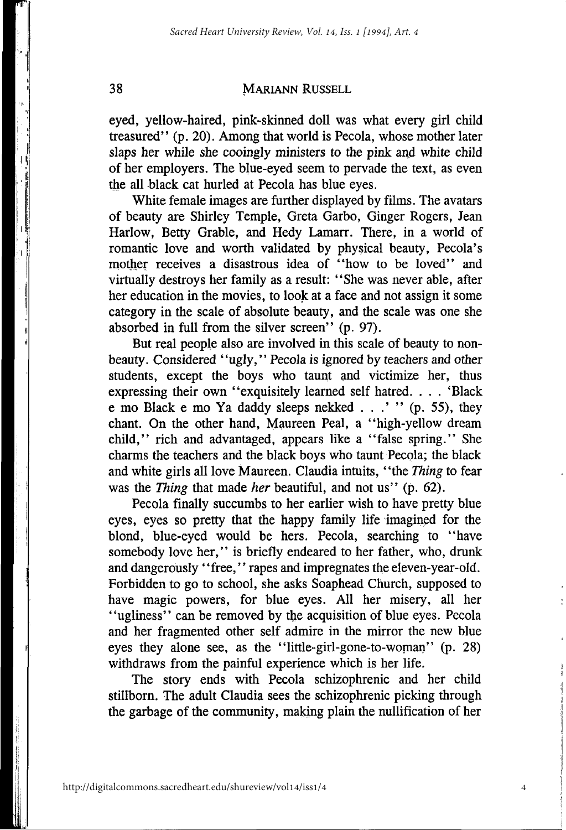#### 38 MARIANN RUSSELL

eyed, yellow-haired, pink-skinned doll was what every girl child treasured" (p. 20). Among that world is Pecola, whose mother later slaps her while she cooingly ministers to the pink and white child of her employers. The blue-eyed seem to pervade the text, as even the all black cat hurled at Pecola has blue eyes.

White female images are further displayed by films. The avatars of beauty are Shirley Temple, Greta Garbo, Ginger Rogers, Jean Harlow, Betty Grable, and Hedy Lamarr. There, in a world of romantic love and worth validated by physical beauty, Pecola's mother receives a disastrous idea of "how to be loved" and virtually destroys her family as a result: "She was never able, after her education in the movies, to look at a face and not assign it some category in the scale of absolute beauty, and the scale was one she absorbed in full from the silver screen" (p. 97).

But real people also are involved in this scale of beauty to nonbeauty. Considered "ugly, " Pecola is ignored by teachers and other students, except the boys who taunt and victimize her, thus expressing their own "exquisitely learned self hatred. . . . 'Black e mo Black e mo Ya daddy sleeps nekked . . .' " (p. 55), they chant. On the other hand, Maureen Peal, a "high-yellow dream child," rich and advantaged, appears like a "false spring." She charms the teachers and the black boys who taunt Pecola; the black and white girls all love Maureen. Claudia intuits, "the *Thing* to fear was the *Thing* that made *her* beautiful, and not us" (p. 62).

Pecola finally succumbs to her earlier wish to have pretty blue eyes, eyes so pretty that the happy family life imagined for the blond, blue-eyed would be hers. Pecola, searching to "have somebody love her," is briefly endeared to her father, who, drunk and dangerously "free,'' rapes and impregnates the ejeven-year-old. Forbidden to go to school, she asks Soaphead Church, supposed to have magic powers, for blue eyes. All her misery, all her "ugliness" can be removed by the acquisition of blue eyes. Pecola and her fragmented other self admire in the mirror the new blue eyes they alone see, as the "little-girl-gone-to-woman" (p. 28) withdraws from the painful experience which is her life.

The story ends with Pecola schizophrenic and her child stillborn. The adult Claudia sees the schizophrenic picking through the garbage of the community, making plain the nullification of her